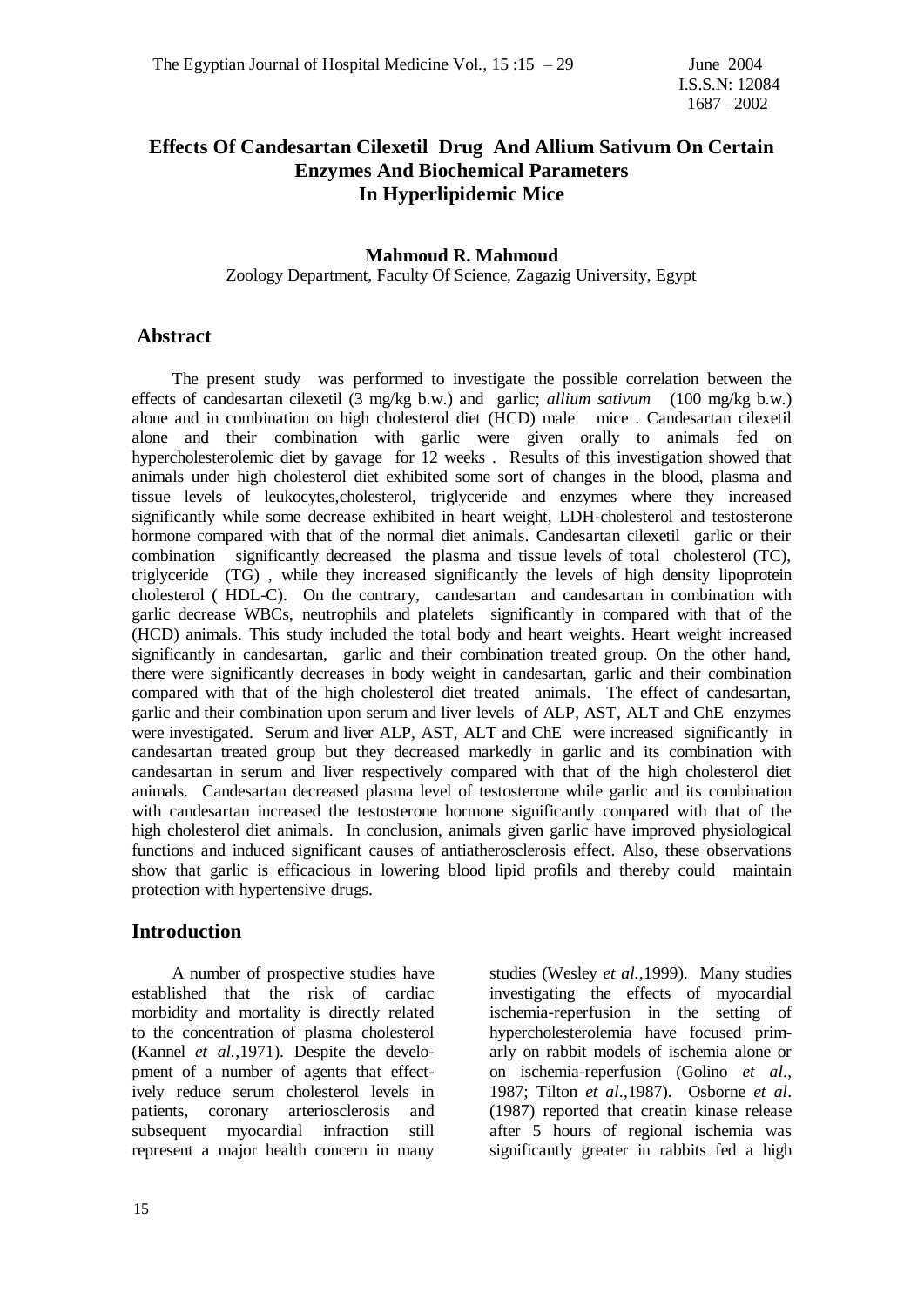### **Effects Of Candesartan Cilexetil Drug And Allium Sativum On Certain Enzymes And Biochemical Parameters In Hyperlipidemic Mice**

#### **Mahmoud R. Mahmoud** Zoology Department, Faculty Of Science, Zagazig University, Egypt

### **Abstract**

 The present study was performed to investigate the possible correlation between the effects of candesartan cilexetil (3 mg/kg b.w.) and garlic; *allium sativum* (100 mg/kg b.w.) alone and in combination on high cholesterol diet (HCD) male mice . Candesartan cilexetil alone and their combination with garlic were given orally to animals fed on hypercholesterolemic diet by gavage for 12 weeks . Results of this investigation showed that animals under high cholesterol diet exhibited some sort of changes in the blood, plasma and tissue levels of leukocytes,cholesterol, triglyceride and enzymes where they increased significantly while some decrease exhibited in heart weight, LDH-cholesterol and testosterone hormone compared with that of the normal diet animals. Candesartan cilexetil garlic or their combination significantly decreased the plasma and tissue levels of total cholesterol (TC), triglyceride (TG) , while they increased significantly the levels of high density lipoprotein cholesterol ( HDL-C). On the contrary, candesartan and candesartan in combination with garlic decrease WBCs, neutrophils and platelets significantly in compared with that of the (HCD) animals. This study included the total body and heart weights. Heart weight increased significantly in candesartan, garlic and their combination treated group. On the other hand, there were significantly decreases in body weight in candesartan, garlic and their combination compared with that of the high cholesterol diet treated animals. The effect of candesartan, garlic and their combination upon serum and liver levels of ALP, AST, ALT and ChE enzymes were investigated. Serum and liver ALP, AST, ALT and ChE were increased significantly in candesartan treated group but they decreased markedly in garlic and its combination with candesartan in serum and liver respectively compared with that of the high cholesterol diet animals. Candesartan decreased plasma level of testosterone while garlic and its combination with candesartan increased the testosterone hormone significantly compared with that of the high cholesterol diet animals. In conclusion, animals given garlic have improved physiological functions and induced significant causes of antiatherosclerosis effect. Also, these observations show that garlic is efficacious in lowering blood lipid profils and thereby could maintain protection with hypertensive drugs.

### **Introduction**

 A number of prospective studies have established that the risk of cardiac morbidity and mortality is directly related to the concentration of plasma cholesterol (Kannel *et al.,*1971). Despite the development of a number of agents that effectively reduce serum cholesterol levels in patients, coronary arteriosclerosis and subsequent myocardial infraction still represent a major health concern in many

studies (Wesley *et al.,*1999). Many studies investigating the effects of myocardial ischemia-reperfusion in the setting of hypercholesterolemia have focused primarly on rabbit models of ischemia alone or on ischemia-reperfusion (Golino *et al*., 1987; Tilton *et al*.,1987). Osborne *et al*. (1987) reported that creatin kinase release after 5 hours of regional ischemia was significantly greater in rabbits fed a high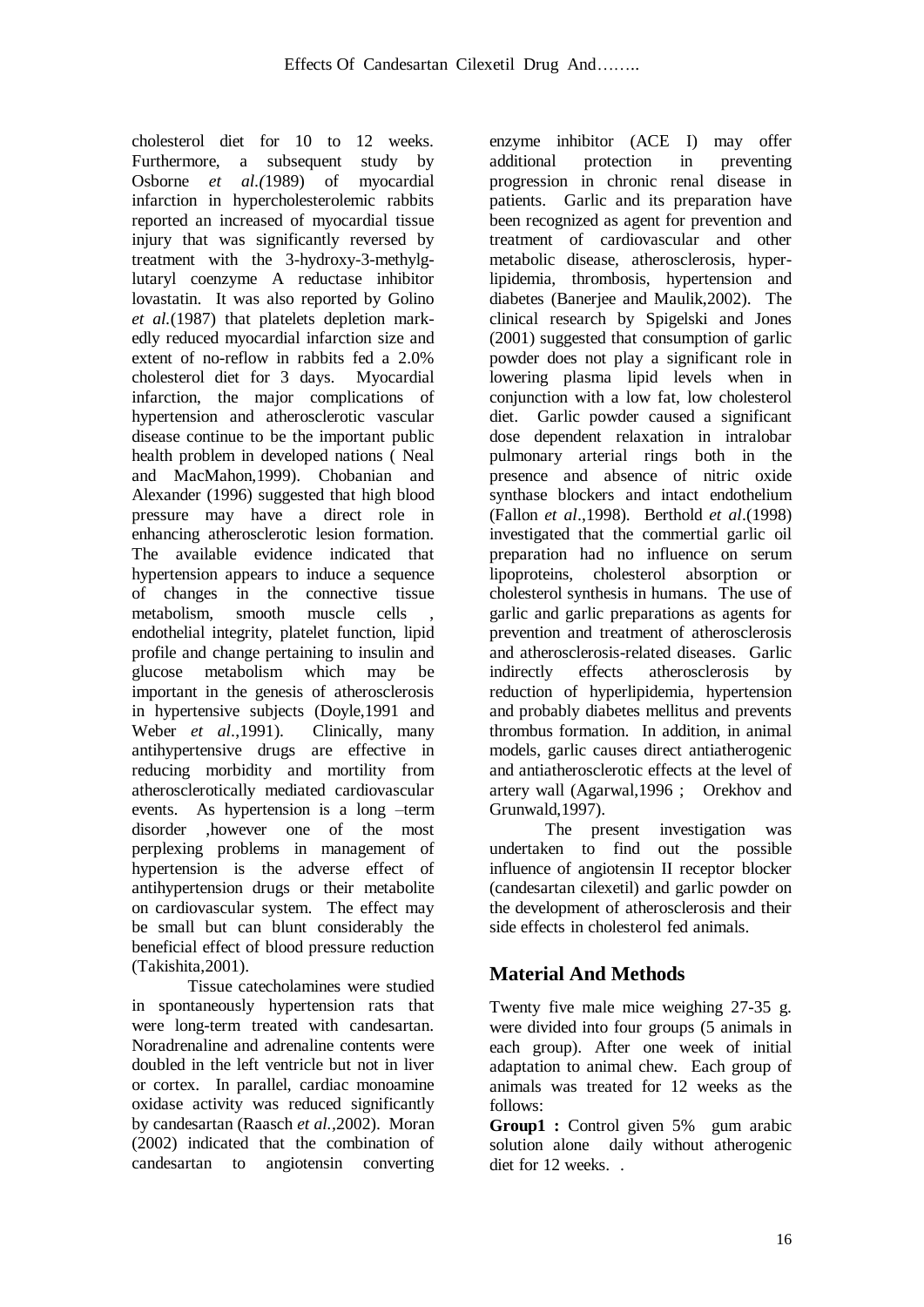cholesterol diet for 10 to 12 weeks. Furthermore, a subsequent study by Osborne *et al.(*1989) of myocardial infarction in hypercholesterolemic rabbits reported an increased of myocardial tissue injury that was significantly reversed by treatment with the 3-hydroxy-3-methylglutaryl coenzyme A reductase inhibitor lovastatin. It was also reported by Golino *et al.*(1987) that platelets depletion markedly reduced myocardial infarction size and extent of no-reflow in rabbits fed a 2.0% cholesterol diet for 3 days. Myocardial infarction, the major complications of hypertension and atherosclerotic vascular disease continue to be the important public health problem in developed nations ( Neal and MacMahon,1999). Chobanian and Alexander (1996) suggested that high blood pressure may have a direct role in enhancing atherosclerotic lesion formation. The available evidence indicated that hypertension appears to induce a sequence of changes in the connective tissue metabolism, smooth muscle cells endothelial integrity, platelet function, lipid profile and change pertaining to insulin and glucose metabolism which may be important in the genesis of atherosclerosis in hypertensive subjects (Doyle,1991 and Weber *et al*.,1991). Clinically, many antihypertensive drugs are effective in reducing morbidity and mortility from atherosclerotically mediated cardiovascular events. As hypertension is a long –term disorder ,however one of the most perplexing problems in management of hypertension is the adverse effect of antihypertension drugs or their metabolite on cardiovascular system. The effect may be small but can blunt considerably the beneficial effect of blood pressure reduction (Takishita,2001).

Tissue catecholamines were studied in spontaneously hypertension rats that were long-term treated with candesartan. Noradrenaline and adrenaline contents were doubled in the left ventricle but not in liver or cortex. In parallel, cardiac monoamine oxidase activity was reduced significantly by candesartan (Raasch *et al.,*2002). Moran (2002) indicated that the combination of candesartan to angiotensin converting

enzyme inhibitor (ACE I) may offer additional protection in preventing progression in chronic renal disease in patients. Garlic and its preparation have been recognized as agent for prevention and treatment of cardiovascular and other metabolic disease, atherosclerosis, hyperlipidemia, thrombosis, hypertension and diabetes (Banerjee and Maulik,2002). The clinical research by Spigelski and Jones (2001) suggested that consumption of garlic powder does not play a significant role in lowering plasma lipid levels when in conjunction with a low fat, low cholesterol diet. Garlic powder caused a significant dose dependent relaxation in intralobar pulmonary arterial rings both in the presence and absence of nitric oxide synthase blockers and intact endothelium (Fallon *et al*.,1998). Berthold *et al*.(1998) investigated that the commertial garlic oil preparation had no influence on serum lipoproteins, cholesterol absorption or cholesterol synthesis in humans. The use of garlic and garlic preparations as agents for prevention and treatment of atherosclerosis and atherosclerosis-related diseases. Garlic indirectly effects atherosclerosis by reduction of hyperlipidemia, hypertension and probably diabetes mellitus and prevents thrombus formation. In addition, in animal models, garlic causes direct antiatherogenic and antiatherosclerotic effects at the level of artery wall (Agarwal,1996 ; Orekhov and Grunwald,1997).

The present investigation was undertaken to find out the possible influence of angiotensin II receptor blocker (candesartan cilexetil) and garlic powder on the development of atherosclerosis and their side effects in cholesterol fed animals.

# **Material And Methods**

Twenty five male mice weighing 27-35 g. were divided into four groups (5 animals in each group). After one week of initial adaptation to animal chew. Each group of animals was treated for 12 weeks as the follows:

**Group1 :** Control given 5% gum arabic solution alone daily without atherogenic diet for 12 weeks. .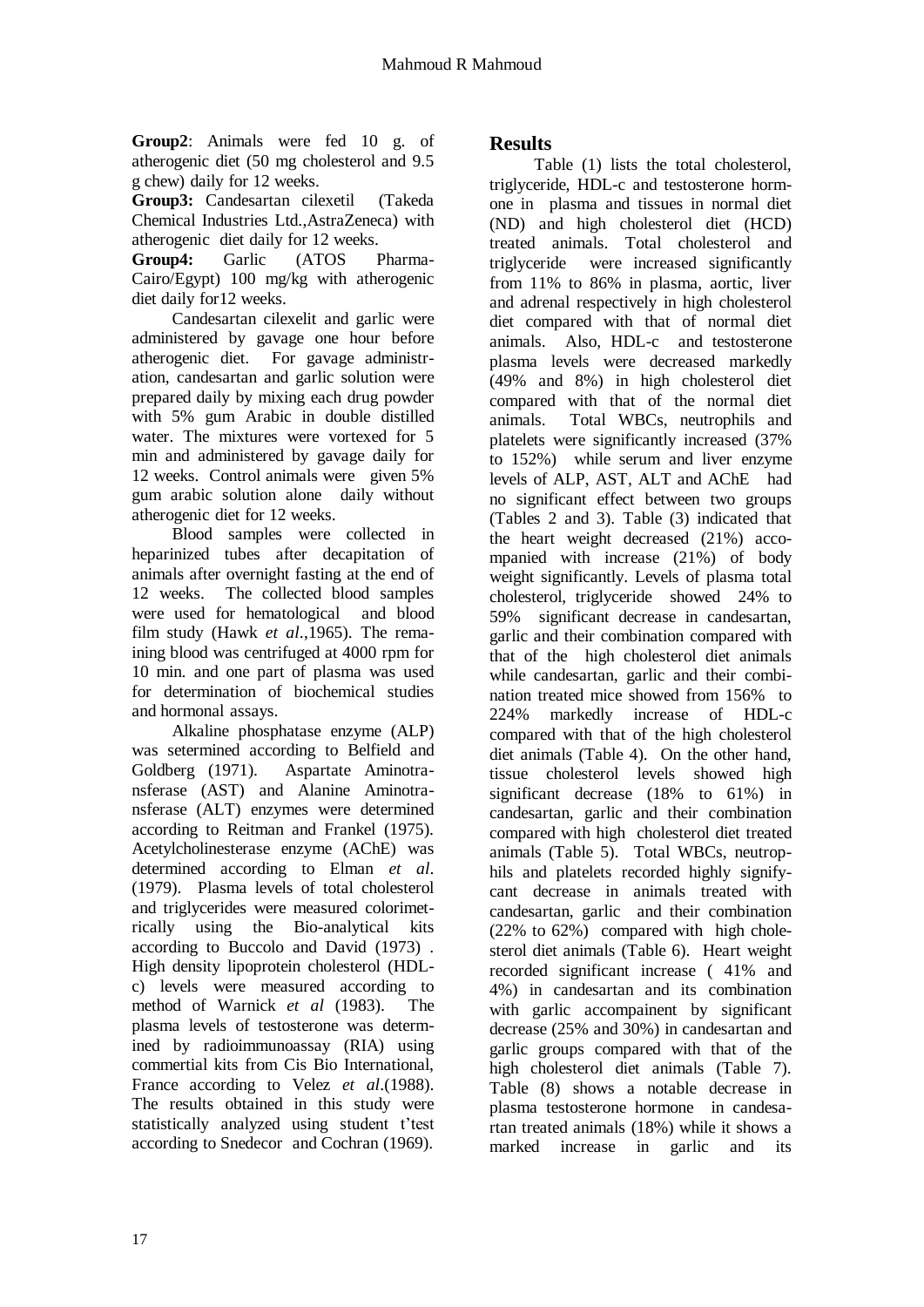**Group2**: Animals were fed 10 g. of atherogenic diet (50 mg cholesterol and 9.5 g chew) daily for 12 weeks.

**Group3:** Candesartan cilexetil (Takeda Chemical Industries Ltd.,AstraZeneca) with atherogenic diet daily for 12 weeks.

**Group4:** Garlic (ATOS Pharma-Cairo/Egypt) 100 mg/kg with atherogenic diet daily for12 weeks.

 Candesartan cilexelit and garlic were administered by gavage one hour before atherogenic diet. For gavage administration, candesartan and garlic solution were prepared daily by mixing each drug powder with 5% gum Arabic in double distilled water. The mixtures were vortexed for 5 min and administered by gavage daily for 12 weeks. Control animals were given 5% gum arabic solution alone daily without atherogenic diet for 12 weeks.

 Blood samples were collected in heparinized tubes after decapitation of animals after overnight fasting at the end of 12 weeks. The collected blood samples were used for hematological and blood film study (Hawk *et al*.,1965). The remaining blood was centrifuged at 4000 rpm for 10 min. and one part of plasma was used for determination of biochemical studies and hormonal assays.

 Alkaline phosphatase enzyme (ALP) was setermined according to Belfield and Goldberg (1971). Aspartate Aminotransferase (AST) and Alanine Aminotransferase (ALT) enzymes were determined according to Reitman and Frankel (1975). Acetylcholinesterase enzyme (AChE) was determined according to Elman *et al*. (1979). Plasma levels of total cholesterol and triglycerides were measured colorimetrically using the Bio-analytical kits according to Buccolo and David (1973) . High density lipoprotein cholesterol (HDLc) levels were measured according to method of Warnick *et al* (1983). The plasma levels of testosterone was determined by radioimmunoassay (RIA) using commertial kits from Cis Bio International, France according to Velez *et al*.(1988). The results obtained in this study were statistically analyzed using student t'test according to Snedecor and Cochran (1969).

## **Results**

 Table (1) lists the total cholesterol, triglyceride, HDL-c and testosterone hormone in plasma and tissues in normal diet (ND) and high cholesterol diet (HCD) treated animals. Total cholesterol and triglyceride were increased significantly from 11% to 86% in plasma, aortic, liver and adrenal respectively in high cholesterol diet compared with that of normal diet animals. Also, HDL-c and testosterone plasma levels were decreased markedly (49% and 8%) in high cholesterol diet compared with that of the normal diet animals. Total WBCs, neutrophils and platelets were significantly increased (37% to 152%) while serum and liver enzyme levels of ALP, AST, ALT and AChE had no significant effect between two groups (Tables 2 and 3). Table (3) indicated that the heart weight decreased (21%) accompanied with increase (21%) of body weight significantly. Levels of plasma total cholesterol, triglyceride showed 24% to 59% significant decrease in candesartan, garlic and their combination compared with that of the high cholesterol diet animals while candesartan, garlic and their combination treated mice showed from 156% to 224% markedly increase of HDL-c compared with that of the high cholesterol diet animals (Table 4). On the other hand, tissue cholesterol levels showed high significant decrease (18% to 61%) in candesartan, garlic and their combination compared with high cholesterol diet treated animals (Table 5). Total WBCs, neutrophils and platelets recorded highly signifycant decrease in animals treated with candesartan, garlic and their combination (22% to 62%) compared with high cholesterol diet animals (Table 6). Heart weight recorded significant increase ( 41% and 4%) in candesartan and its combination with garlic accompainent by significant decrease (25% and 30%) in candesartan and garlic groups compared with that of the high cholesterol diet animals (Table 7). Table (8) shows a notable decrease in plasma testosterone hormone in candesartan treated animals (18%) while it shows a marked increase in garlic and its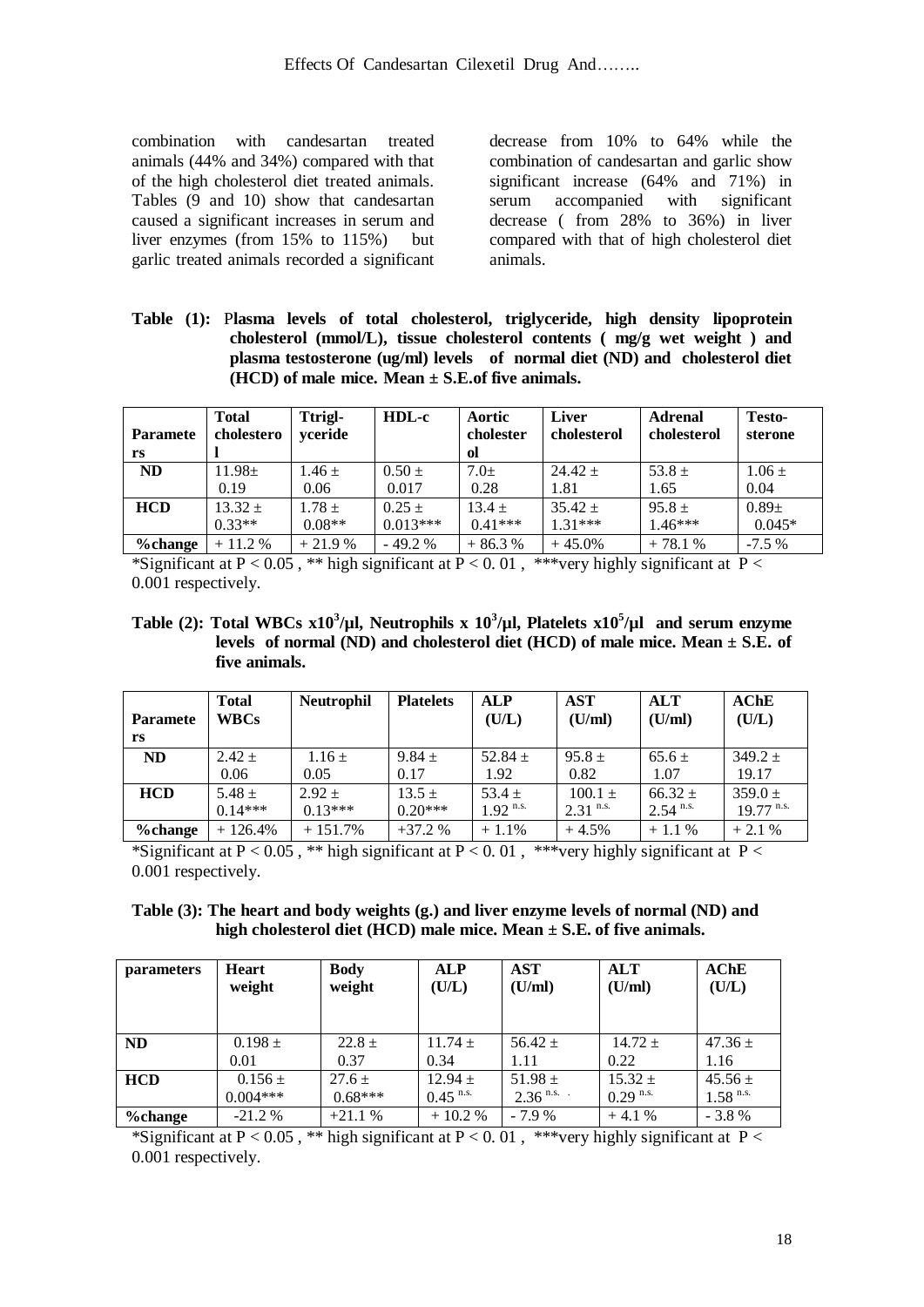combination with candesartan treated animals (44% and 34%) compared with that of the high cholesterol diet treated animals. Tables (9 and 10) show that candesartan caused a significant increases in serum and liver enzymes (from 15% to 115%) but garlic treated animals recorded a significant

decrease from 10% to 64% while the combination of candesartan and garlic show significant increase (64% and 71%) in serum accompanied with significant decrease ( from 28% to 36%) in liver compared with that of high cholesterol diet animals.

**Table (1):** P**lasma levels of total cholesterol, triglyceride, high density lipoprotein cholesterol (mmol/L), tissue cholesterol contents ( mg/g wet weight ) and plasma testosterone (ug/ml) levels of normal diet (ND) and cholesterol diet (HCD) of male mice. Mean ± S.E.of five animals.**

|                 | <b>Total</b> | Ttrigl-    | HDL-c      | Aortic    | <b>Liver</b> | <b>Adrenal</b> | <b>Testo-</b> |
|-----------------|--------------|------------|------------|-----------|--------------|----------------|---------------|
| <b>Paramete</b> | cholestero   | yceride    |            | cholester | cholesterol  | cholesterol    | sterone       |
| rs              |              |            |            | ol        |              |                |               |
| <b>ND</b>       | $11.98 \pm$  | $1.46 \pm$ | $0.50 \pm$ | $7.0+$    | $24.42 +$    | 53.8 $\pm$     | $1.06 \pm$    |
|                 | 0.19         | 0.06       | 0.017      | 0.28      | 1.81         | 1.65           | 0.04          |
| <b>HCD</b>      | $13.32 +$    | $1.78 \pm$ | $0.25 +$   | $13.4 +$  | $35.42 \pm$  | $95.8 \pm$     | $0.89\pm$     |
|                 | $0.33**$     | $0.08**$   | $0.013***$ | $0.41***$ | $1.31***$    | $1.46***$      | $0.045*$      |
| %change         | $+11.2%$     | $+21.9%$   | $-49.2%$   | $+86.3%$  | $+45.0%$     | $+78.1%$       | $-7.5%$       |

\*Significant at P < 0.05, \*\* high significant at P < 0.01, \*\*\*very highly significant at P < 0.001 respectively.

**Table (2):** Total WBCs  $x10^3/\mu$ , Neutrophils x  $10^3/\mu$ , Platelets  $x10^5/\mu$  and serum enzyme **levels of normal (ND) and cholesterol diet (HCD) of male mice. Mean ± S.E. of five animals.**

| <b>Paramete</b><br>rs | <b>Total</b><br><b>WBCs</b> | <b>Neutrophil</b> | <b>Platelets</b> | <b>ALP</b><br>(U/L)    | AST<br>(U/ml)          | <b>ALT</b><br>(U/ml)   | AChE<br>(U/L)           |
|-----------------------|-----------------------------|-------------------|------------------|------------------------|------------------------|------------------------|-------------------------|
| <b>ND</b>             | $2.42 +$                    | $1.16 \pm$        | $9.84 \pm$       | $52.84 +$              | $95.8 +$               | $65.6 \pm$             | $349.2 +$               |
|                       | 0.06                        | 0.05              | 0.17             | 1.92                   | 0.82                   | 1.07                   | 19.17                   |
| <b>HCD</b>            | $5.48 \pm$                  | $2.92 +$          | $13.5 \pm$       | $53.4 +$               | $100.1 \pm$            | $66.32 \pm$            | $359.0 +$               |
|                       | $0.14***$                   | $0.13***$         | $0.20***$        | $1.92$ <sup>n.s.</sup> | $2.31$ <sup>n.s.</sup> | $2.54$ <sup>n.s.</sup> | $19.77$ <sup>n.s.</sup> |
| %change               | $+126.4%$                   | $+151.7%$         | $+37.2%$         | $+1.1%$                | $+4.5%$                | $+1.1%$                | $+2.1%$                 |

\*Significant at P < 0.05, \*\* high significant at P < 0.01, \*\*\*very highly significant at P < 0.001 respectively.

#### **Table (3): The heart and body weights (g.) and liver enzyme levels of normal (ND) and high cholesterol diet (HCD) male mice. Mean ± S.E. of five animals.**

| <i>parameters</i> | <b>Heart</b><br>weight | <b>Body</b><br>weight | <b>ALP</b><br>(U/L)    | AST<br>(U/ml)          | <b>ALT</b><br>(U/ml)   | AChE<br>(U/L)          |
|-------------------|------------------------|-----------------------|------------------------|------------------------|------------------------|------------------------|
| <b>ND</b>         | $0.198 \pm$            | $22.8 \pm$            | $11.74 \pm$            | $56.42 \pm$            | $14.72 +$              | $47.36 \pm$            |
|                   | 0.01                   | 0.37                  | 0.34                   | 1.11                   | 0.22                   | 1.16                   |
| <b>HCD</b>        | $0.156 \pm$            | $27.6 \pm$            | $12.94 \pm$            | $51.98 \pm$            | $15.32 +$              | $45.56 \pm$            |
|                   | $0.004***$             | $0.68***$             | $0.45$ <sup>n.s.</sup> | $2.36$ <sup>n.s.</sup> | $0.29$ <sup>n.s.</sup> | $1.58$ <sup>n.s.</sup> |
| %change           | $-21.2%$               | $+21.1%$              | $+10.2%$               | $-7.9%$                | $+4.1%$                | $-3.8%$                |

\*Significant at P < 0.05, \*\* high significant at P < 0.01, \*\*\*very highly significant at P < 0.001 respectively.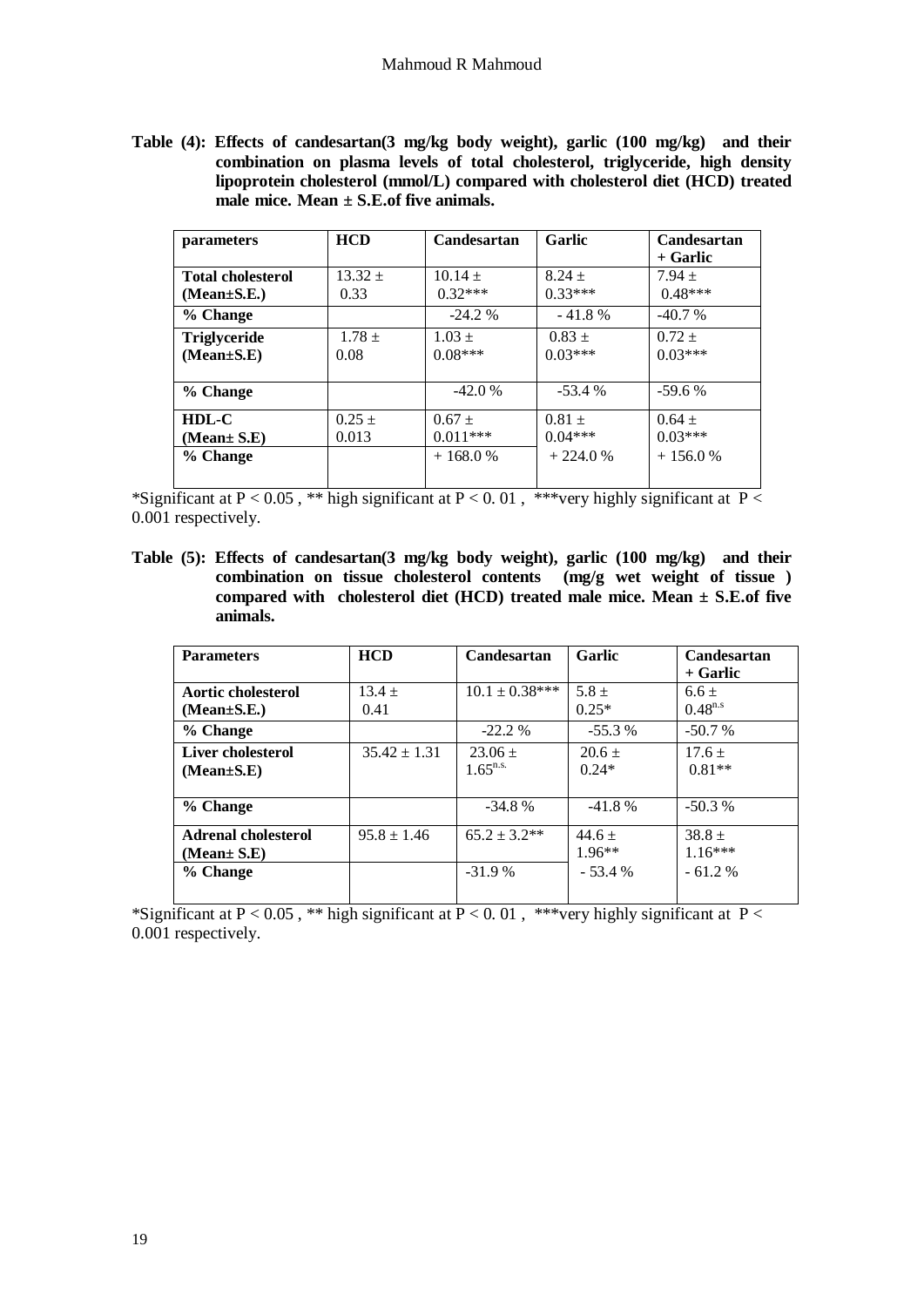**Table (4): Effects of candesartan(3 mg/kg body weight), garlic (100 mg/kg) and their combination on plasma levels of total cholesterol, triglyceride, high density lipoprotein cholesterol (mmol/L) compared with cholesterol diet (HCD) treated**  male mice. Mean + S.E.of five animals.

| <i>parameters</i>        | <b>HCD</b> | Candesartan | Garlic    | Candesartan |
|--------------------------|------------|-------------|-----------|-------------|
|                          |            |             |           | + Garlic    |
| <b>Total cholesterol</b> | $13.32 +$  | $10.14 \pm$ | $8.24 +$  | $7.94 \pm$  |
| $(Mean \pm S.E.)$        | 0.33       | $0.32***$   | $0.33***$ | $0.48***$   |
| % Change                 |            | $-24.2\%$   | $-41.8%$  | $-40.7%$    |
| <b>Triglyceride</b>      | $1.78 \pm$ | $1.03 +$    | $0.83 +$  | $0.72 +$    |
| $(Mean \pm S.E)$         | 0.08       | $0.08***$   | $0.03***$ | $0.03***$   |
|                          |            |             |           |             |
| % Change                 |            | $-42.0%$    | $-53.4%$  | $-59.6%$    |
| HDL-C                    | $0.25 +$   | $0.67 +$    | $0.81 +$  | $0.64 +$    |
| (Mean± S.E)              | 0.013      | $0.011***$  | $0.04***$ | $0.03***$   |
| % Change                 |            | $+168.0%$   | $+224.0%$ | $+156.0%$   |
|                          |            |             |           |             |

\*Significant at  $P < 0.05$ , \*\* high significant at  $P < 0.01$ , \*\*\*very highly significant at  $P <$ 0.001 respectively.

**Table (5): Effects of candesartan(3 mg/kg body weight), garlic (100 mg/kg) and their combination on tissue cholesterol contents (mg/g wet weight of tissue ) compared with cholesterol diet (HCD) treated male mice. Mean ± S.E.of five animals.**

| <b>Parameters</b>                              | <b>HCD</b>       | <b>Candesartan</b>           | Garlic                           | Candesartan<br>+ Garlic           |
|------------------------------------------------|------------------|------------------------------|----------------------------------|-----------------------------------|
| Aortic cholesterol<br>$(Mean \pm S.E.)$        | $13.4 +$<br>0.41 | $10.1 \pm 0.38***$           | $5.8 +$<br>$0.25*$               | $6.6 +$<br>$0.48^{n.s}$           |
| % Change                                       |                  | $-22.2%$                     | $-55.3%$                         | $-50.7%$                          |
| Liver cholesterol<br>$(Mean \pm S.E)$          | $35.42 \pm 1.31$ | $23.06 \pm$<br>$1.65^{n.s.}$ | $20.6 +$<br>$0.24*$              | $17.6 \pm$<br>$0.81**$            |
| % Change                                       |                  | $-34.8%$                     | $-41.8%$                         | $-50.3%$                          |
| Adrenal cholesterol<br>(Mean± S.E)<br>% Change | $95.8 \pm 1.46$  | $65.2 \pm 3.2**$<br>$-31.9%$ | $44.6 +$<br>$1.96**$<br>$-53.4%$ | $38.8 +$<br>$1.16***$<br>$-61.2%$ |
|                                                |                  |                              |                                  |                                   |

\*Significant at  $P < 0.05$ , \*\* high significant at  $P < 0.01$ , \*\*\*very highly significant at  $P <$ 0.001 respectively.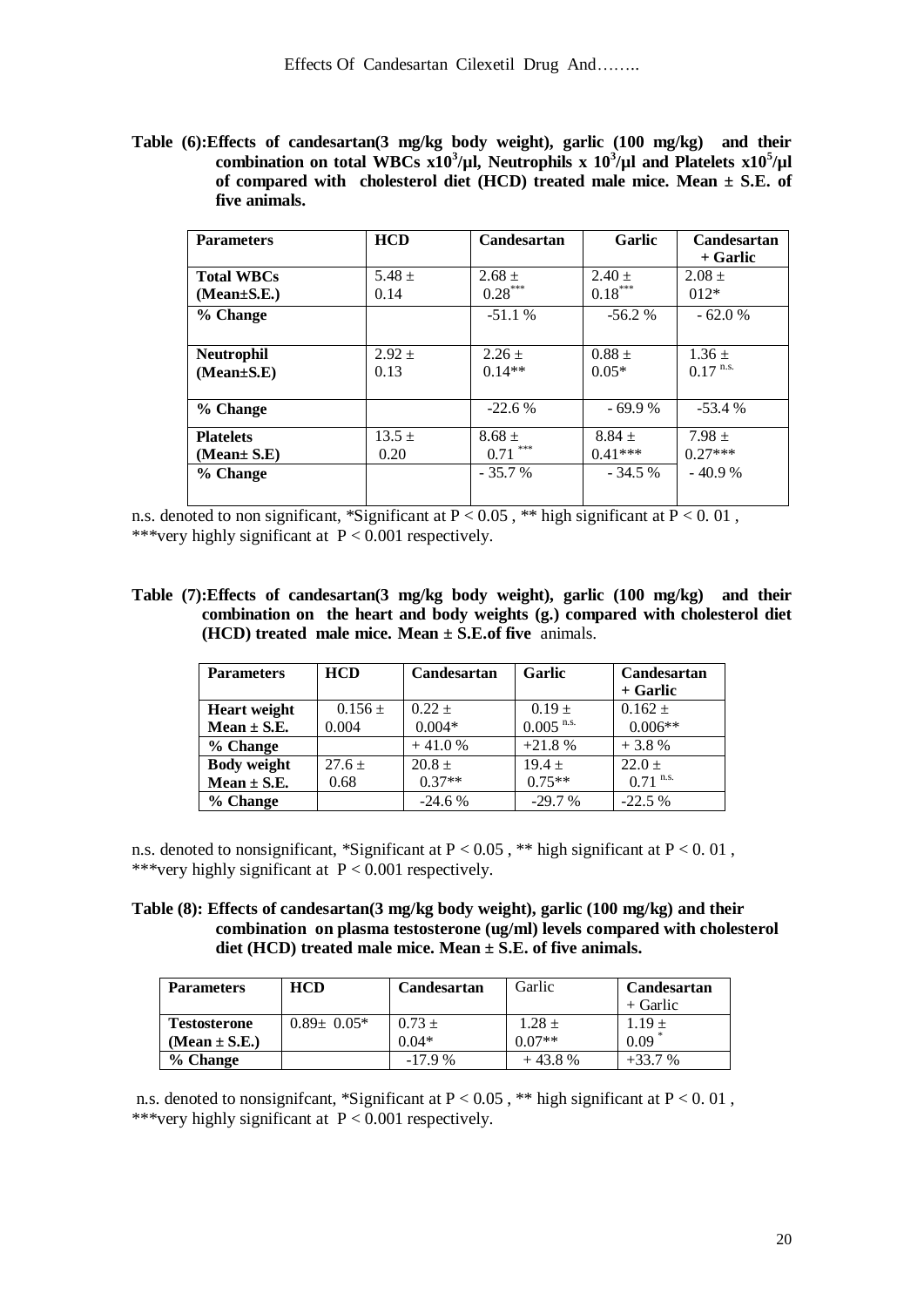**Table (6):Effects of candesartan(3 mg/kg body weight), garlic (100 mg/kg) and their**  combination on total WBCs  $x10^3/\mu$ , Neutrophils x  $10^3/\mu$  and Platelets  $x10^5/\mu$ **of compared with cholesterol diet (HCD) treated male mice. Mean ± S.E. of five animals.**

| <b>Parameters</b> | <b>HCD</b> | Candesartan | Garlic     | Candesartan            |
|-------------------|------------|-------------|------------|------------------------|
|                   |            |             |            | + Garlic               |
| <b>Total WBCs</b> | $5.48 \pm$ | $2.68 \pm$  | $2.40 \pm$ | $2.08 +$               |
| $(Mean \pm S.E.)$ | 0.14       | $0.28***$   | $0.18***$  | $012*$                 |
| % Change          |            | $-51.1%$    | $-56.2%$   | $-62.0%$               |
|                   |            |             |            |                        |
| <b>Neutrophil</b> | $2.92 \pm$ | $2.26 \pm$  | $0.88 +$   | $1.36 \pm$             |
| $(Mean \pm S.E)$  | 0.13       | $0.14**$    | $0.05*$    | $0.17$ <sup>n.s.</sup> |
|                   |            |             |            |                        |
| % Change          |            | $-22.6%$    | $-69.9%$   | $-53.4%$               |
| <b>Platelets</b>  | $13.5 \pm$ | $8.68 \pm$  | $8.84 +$   | $7.98 +$               |
| (Mean± S.E)       | 0.20       | ***<br>0.71 | $0.41***$  | $0.27***$              |
| % Change          |            | $-35.7%$    | $-34.5%$   | $-40.9%$               |
|                   |            |             |            |                        |

n.s. denoted to non significant, \*Significant at  $P < 0.05$ , \*\* high significant at  $P < 0.01$ , \*\*\*very highly significant at  $P < 0.001$  respectively.

**Table (7):Effects of candesartan(3 mg/kg body weight), garlic (100 mg/kg) and their combination on the heart and body weights (g.) compared with cholesterol diet (HCD) treated male mice. Mean ± S.E.of five** animals.

| <b>Parameters</b>   | <b>HCD</b>  | <b>Candesartan</b> | Garlic                  | Candesartan |
|---------------------|-------------|--------------------|-------------------------|-------------|
|                     |             |                    |                         | + Garlic    |
| <b>Heart</b> weight | $0.156 \pm$ | $0.22 +$           | $0.19 +$                | $0.162 \pm$ |
| Mean $\pm$ S.E.     | 0.004       | $0.004*$           | $0.005$ <sup>n.s.</sup> | $0.006**$   |
| % Change            |             | $+41.0%$           | $+21.8%$                | $+3.8%$     |
| <b>Body weight</b>  | $27.6 +$    | $20.8 +$           | $19.4 +$                | $22.0 +$    |
| $Mean \pm S.E.$     | 0.68        | $0.37**$           | $0.75**$                | $0.71$ n.s. |
| % Change            |             | $-24.6%$           | $-29.7%$                | $-22.5%$    |

n.s. denoted to nonsignificant, \*Significant at  $P < 0.05$ , \*\* high significant at  $P < 0.01$ , \*\*\*very highly significant at  $P < 0.001$  respectively.

**Table (8): Effects of candesartan(3 mg/kg body weight), garlic (100 mg/kg) and their combination on plasma testosterone (ug/ml) levels compared with cholesterol diet (HCD) treated male mice. Mean ± S.E. of five animals.**

| <b>Parameters</b>   | <b>HCD</b>        | Candesartan | Garlic     | Candesartan     |
|---------------------|-------------------|-------------|------------|-----------------|
|                     |                   |             |            | $+$ Garlic      |
| <b>Testosterone</b> | $0.89 \pm 0.05^*$ | $0.73 \pm$  | $1.28 \pm$ | $1.19 \pm 0.09$ |
| (Mean $\pm$ S.E.)   |                   | $0.04*$     | $0.07**$   |                 |
| % Change            |                   | $-17.9%$    | $+43.8%$   | $+33.7%$        |

n.s. denoted to nonsignificant, \*Significant at  $P < 0.05$ , \*\* high significant at  $P < 0.01$ , \*\*\*very highly significant at  $P < 0.001$  respectively.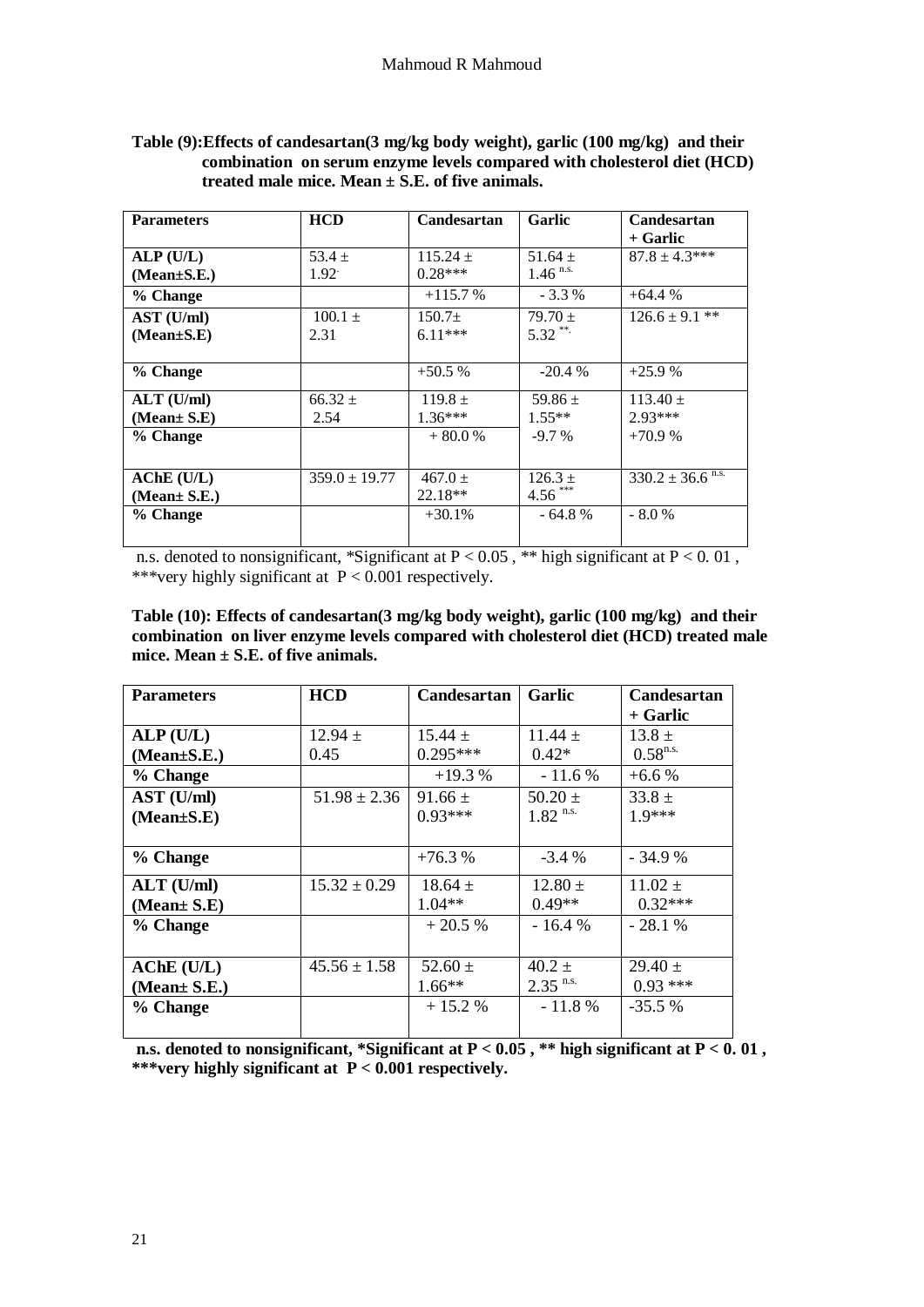| <b>Parameters</b> | <b>HCD</b>        | Candesartan  | Garlic                 | Candesartan                      |
|-------------------|-------------------|--------------|------------------------|----------------------------------|
|                   |                   |              |                        | + Garlic                         |
| ALP(U/L)          | $53.4 +$          | $115.24 \pm$ | $51.64 \pm$            | $87.8 \pm 4.3***$                |
| $(Mean \pm S.E.)$ | $1.92^{\circ}$    | $0.28***$    | $1.46$ <sup>n.s.</sup> |                                  |
| % Change          |                   | $+115.7%$    | $-3.3\%$               | $+64.4%$                         |
| AST (U/ml)        | $100.1 \pm$       | $150.7+$     | $79.70 +$              | $126.6 \pm 9.1$ **               |
| $(Mean \pm S.E)$  | 2.31              | $6.11***$    | $5.32$ **              |                                  |
|                   |                   |              |                        |                                  |
| % Change          |                   | $+50.5%$     | $-20.4%$               | $+25.9%$                         |
| $ALT$ (U/ml)      | $66.32 \pm$       | $119.8 +$    | $59.86 \pm$            | $113.40 \pm$                     |
| (Mean± S.E)       | 2.54              | $1.36***$    | $1.55**$               | $2.93***$                        |
| % Change          |                   | $+80.0%$     | $-9.7\%$               | $+70.9%$                         |
|                   |                   |              |                        |                                  |
| $AChE$ (U/L)      | $359.0 \pm 19.77$ | $467.0 +$    | $126.3 +$              | $330.2 \pm 36.6$ <sup>n.s.</sup> |
| (Mean± S.E.)      |                   | $22.18**$    | $4.56$ ***             |                                  |
| % Change          |                   | $+30.1%$     | $-64.8%$               | $-8.0%$                          |
|                   |                   |              |                        |                                  |

### **Table (9):Effects of candesartan(3 mg/kg body weight), garlic (100 mg/kg) and their combination on serum enzyme levels compared with cholesterol diet (HCD) treated male mice. Mean ± S.E. of five animals.**

n.s. denoted to nonsignificant, \*Significant at  $P < 0.05$ , \*\* high significant at  $P < 0.01$ , \*\*\*very highly significant at  $P < 0.001$  respectively.

| Table (10): Effects of candesartan(3 mg/kg body weight), garlic (100 mg/kg) and their |
|---------------------------------------------------------------------------------------|
| combination on liver enzyme levels compared with cholesterol diet (HCD) treated male  |
| mice. Mean $\pm$ S.E. of five animals.                                                |

| <b>Parameters</b> | <b>HCD</b>       | <b>Candesartan</b> | Garlic                 | Candesartan   |
|-------------------|------------------|--------------------|------------------------|---------------|
|                   |                  |                    |                        | + Garlic      |
| ALP(U/L)          | $12.94 \pm$      | $15.44 \pm$        | $11.44 \pm$            | $13.8 \pm$    |
| $(Mean \pm S.E.)$ | 0.45             | $0.295***$         | $0.42*$                | $0.58^{n.s.}$ |
| % Change          |                  | $+19.3%$           | $-11.6%$               | $+6.6%$       |
| AST (U/ml)        | $51.98 \pm 2.36$ | $91.66 \pm$        | $50.20 \pm$            | $33.8 \pm$    |
| $(Mean \pm S.E)$  |                  | $0.93***$          | $1.82$ <sup>n.s.</sup> | $19***$       |
|                   |                  |                    |                        |               |
| % Change          |                  | $+76.3%$           | $-3.4\%$               | $-34.9%$      |
| $ALT$ (U/ml)      | $15.32 \pm 0.29$ | $18.64 \pm$        | $12.80 \pm$            | $11.02 \pm$   |
| (Mean± S.E)       |                  | $1.04**$           | $0.49**$               | $0.32***$     |
| % Change          |                  | $+20.5%$           | $-16.4%$               | $-28.1%$      |
|                   |                  |                    |                        |               |
| $AChE$ (U/L)      | $45.56 \pm 1.58$ | 52.60 $\pm$        | $40.2 \pm$             | $29.40 \pm$   |
| (Mean $\pm$ S.E.) |                  | $1.66**$           | $2.35$ <sup>n.s.</sup> | $0.93***$     |
| % Change          |                  | $+15.2%$           | $-11.8%$               | $-35.5\%$     |
|                   |                  |                    |                        |               |

n.s. denoted to nonsignificant, \*Significant at  $P < 0.05$ , \*\* high significant at  $P < 0.01$ , **\*\*\*very highly significant at P < 0.001 respectively.**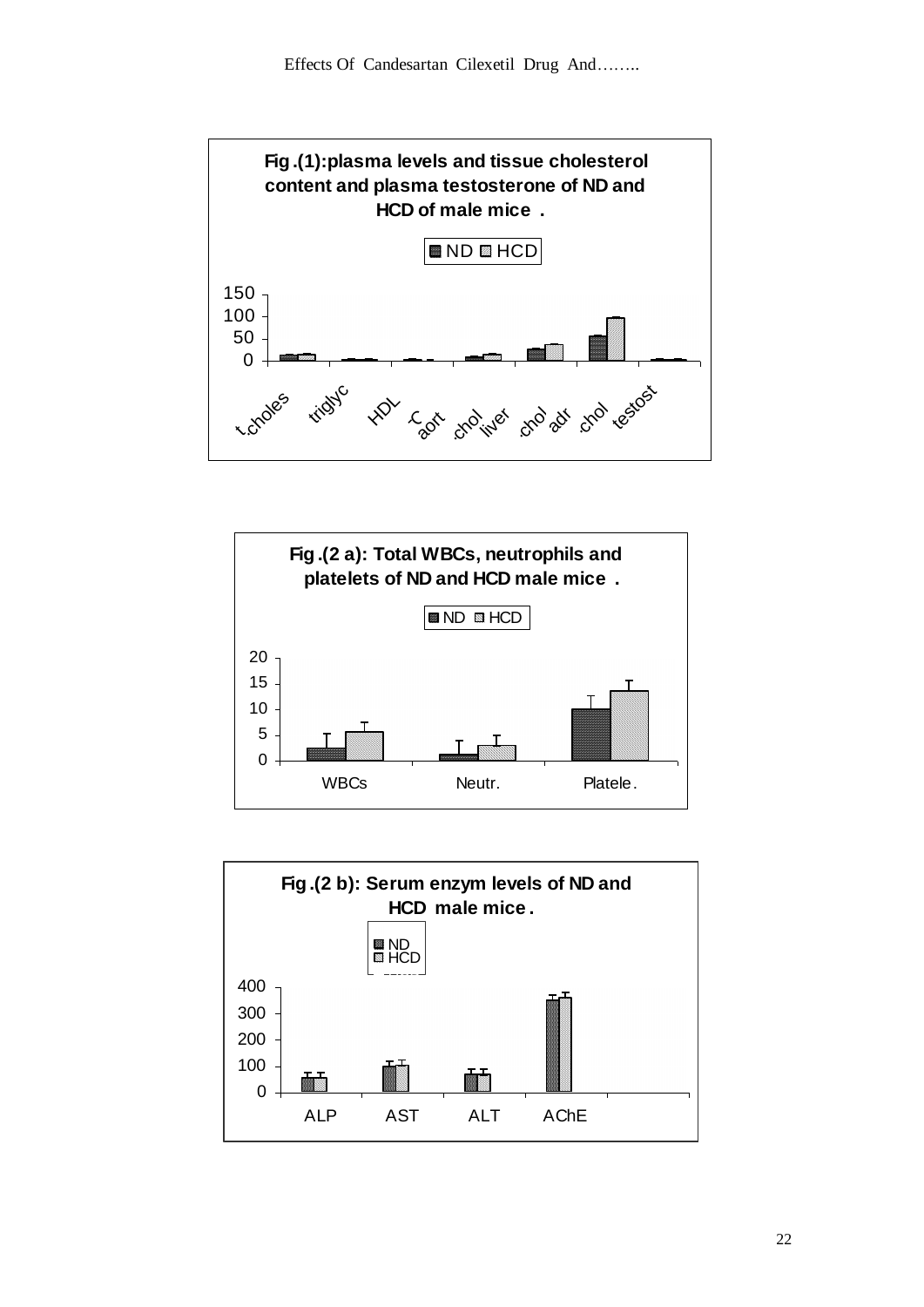





22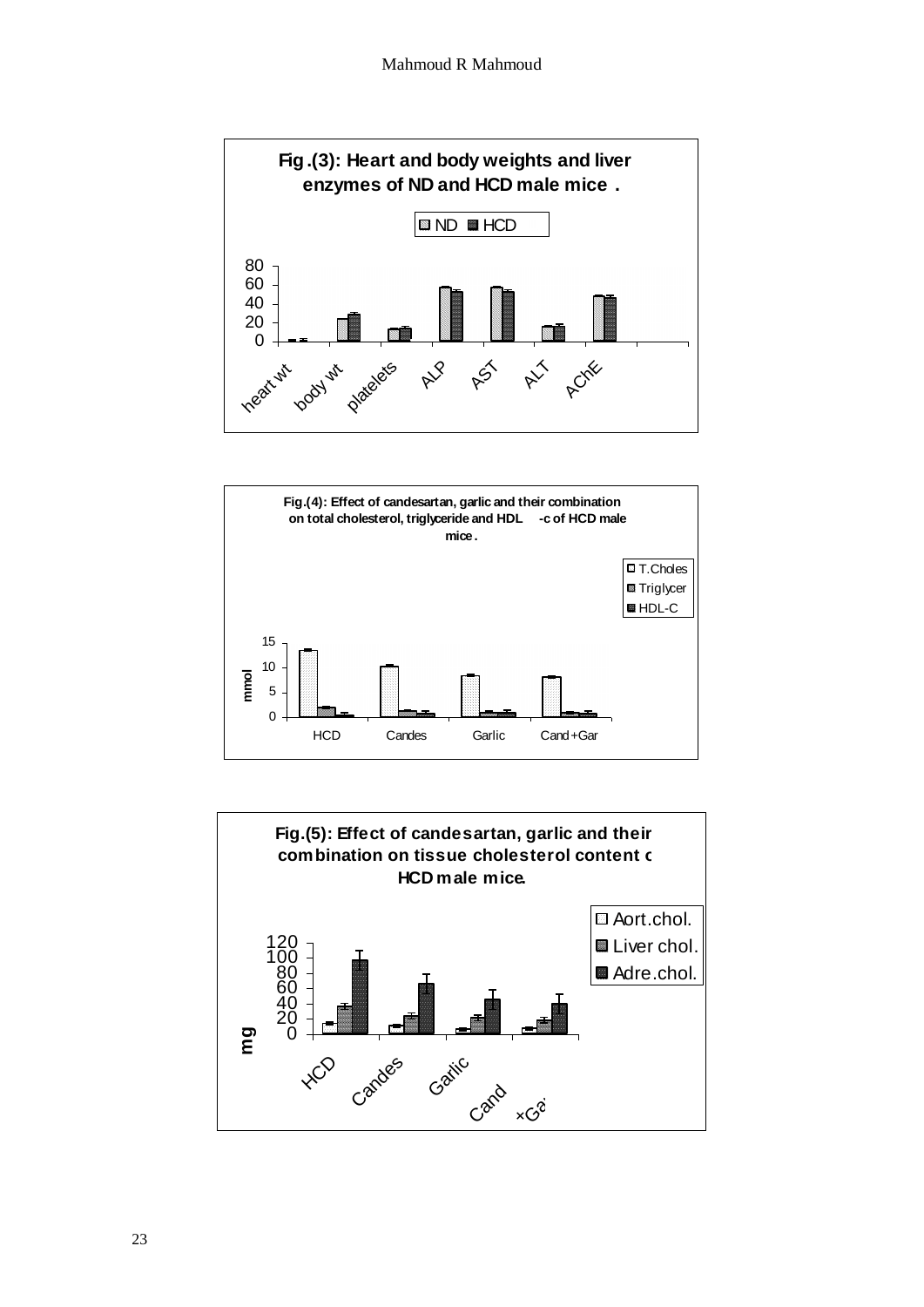



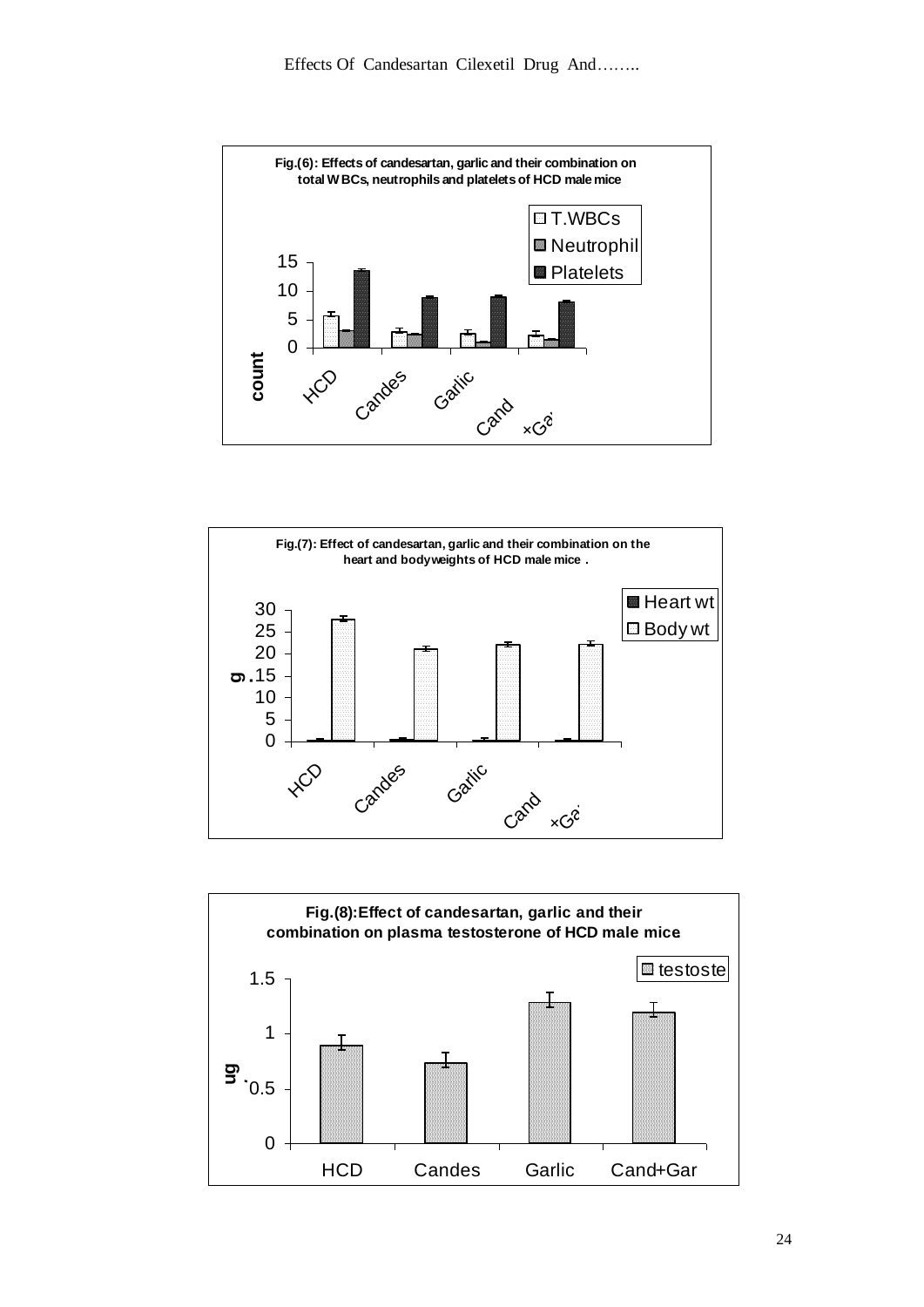



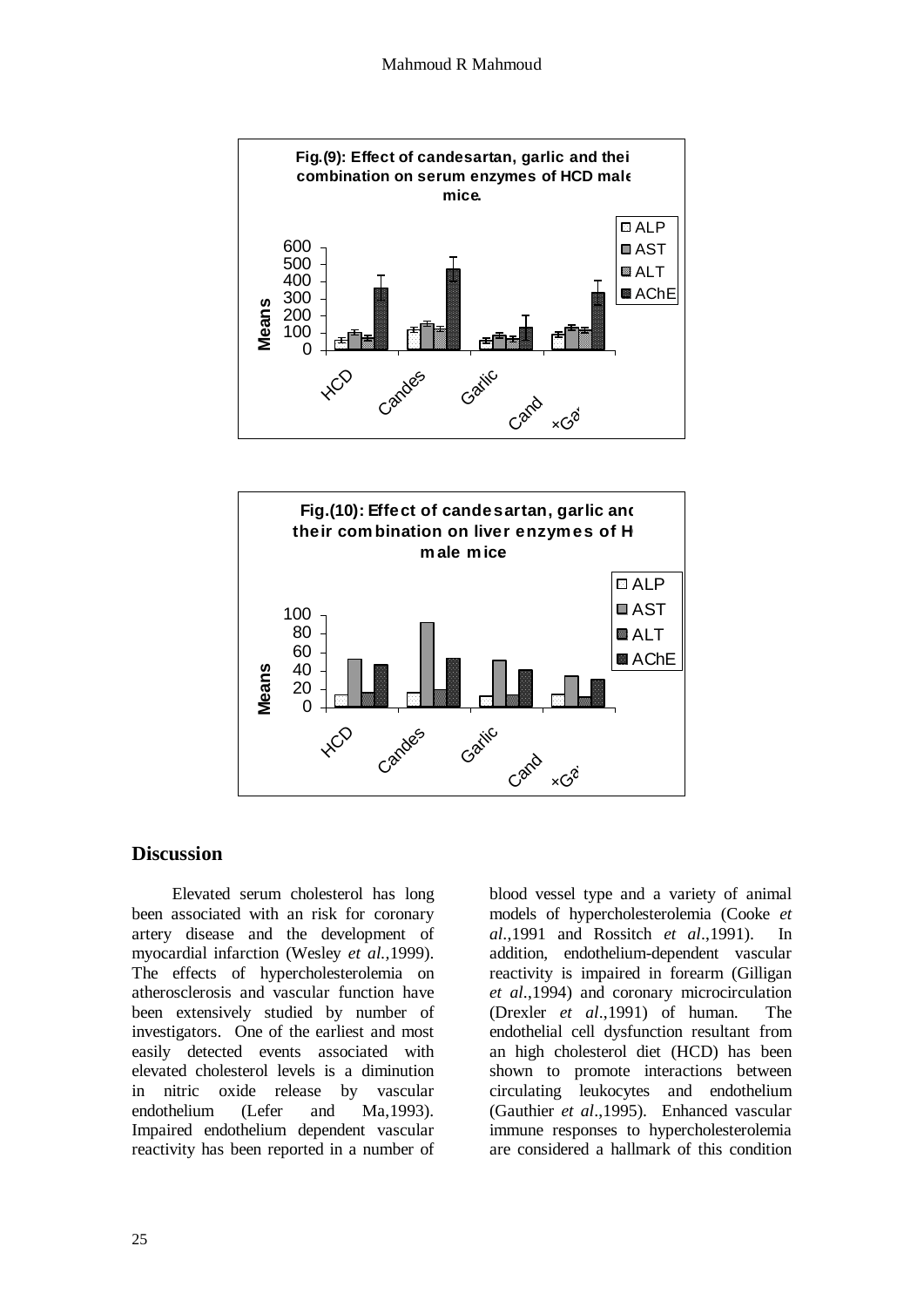



### **Discussion**

 Elevated serum cholesterol has long been associated with an risk for coronary artery disease and the development of myocardial infarction (Wesley *et al.,*1999). The effects of hypercholesterolemia on atherosclerosis and vascular function have been extensively studied by number of investigators. One of the earliest and most easily detected events associated with elevated cholesterol levels is a diminution in nitric oxide release by vascular endothelium (Lefer and Ma,1993). Impaired endothelium dependent vascular reactivity has been reported in a number of

blood vessel type and a variety of animal models of hypercholesterolemia (Cooke *et al*.,1991 and Rossitch *et al*.,1991). In addition, endothelium-dependent vascular reactivity is impaired in forearm (Gilligan *et al*.,1994) and coronary microcirculation (Drexler *et al*.,1991) of human. The endothelial cell dysfunction resultant from an high cholesterol diet (HCD) has been shown to promote interactions between circulating leukocytes and endothelium (Gauthier *et al*.,1995). Enhanced vascular immune responses to hypercholesterolemia are considered a hallmark of this condition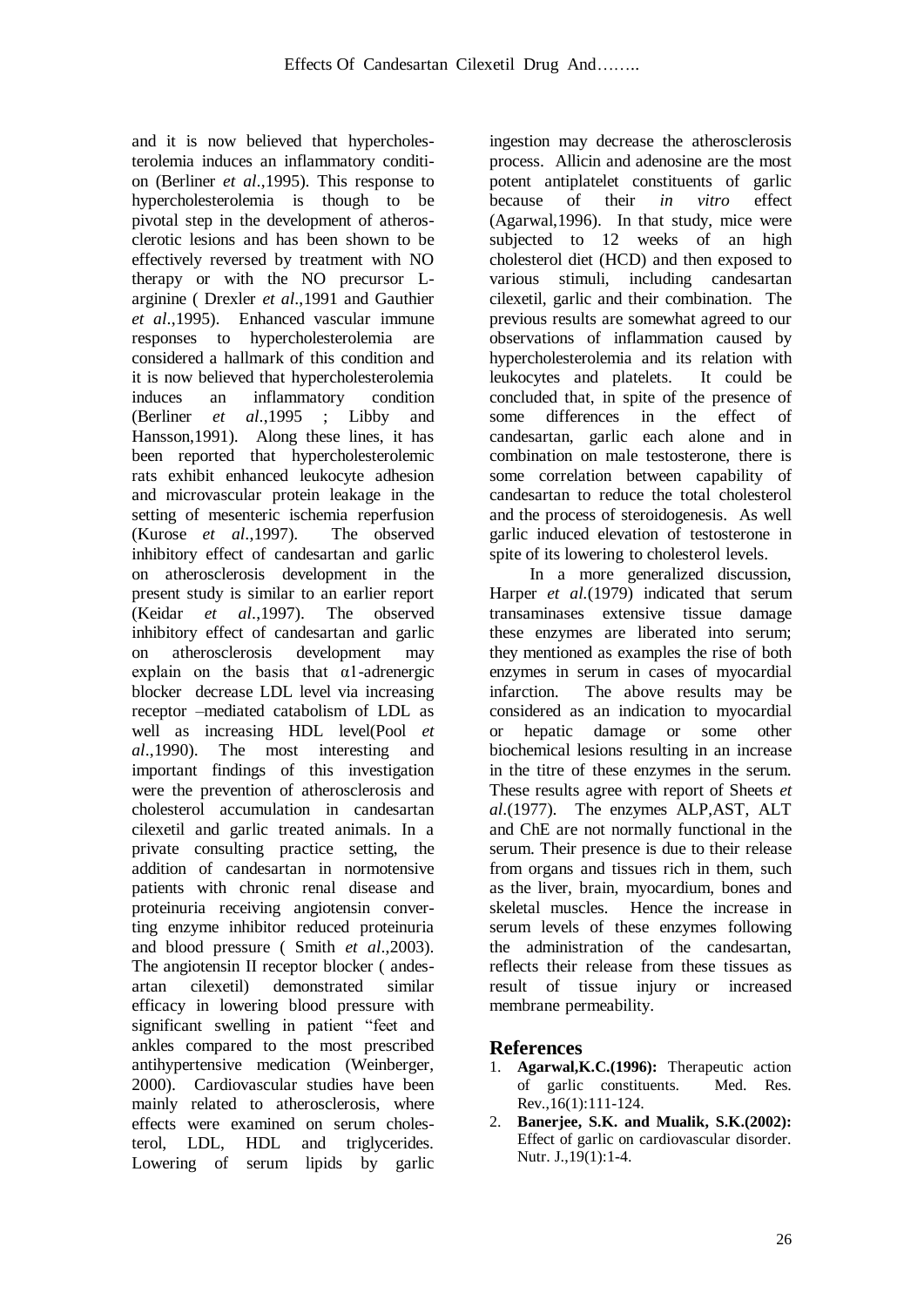and it is now believed that hypercholesterolemia induces an inflammatory condition (Berliner *et al*.,1995). This response to hypercholesterolemia is though to be pivotal step in the development of atherosclerotic lesions and has been shown to be effectively reversed by treatment with NO therapy or with the NO precursor Larginine ( Drexler *et al*.,1991 and Gauthier *et al*.,1995). Enhanced vascular immune responses to hypercholesterolemia are considered a hallmark of this condition and it is now believed that hypercholesterolemia induces an inflammatory condition (Berliner *et al*.,1995 ; Libby and Hansson,1991). Along these lines, it has been reported that hypercholesterolemic rats exhibit enhanced leukocyte adhesion and microvascular protein leakage in the setting of mesenteric ischemia reperfusion (Kurose *et al*.,1997). The observed inhibitory effect of candesartan and garlic on atherosclerosis development in the present study is similar to an earlier report (Keidar *et al*.,1997). The observed inhibitory effect of candesartan and garlic on atherosclerosis development may explain on the basis that  $\alpha$ 1-adrenergic blocker decrease LDL level via increasing receptor –mediated catabolism of LDL as well as increasing HDL level(Pool *et al*.,1990). The most interesting and important findings of this investigation were the prevention of atherosclerosis and cholesterol accumulation in candesartan cilexetil and garlic treated animals. In a private consulting practice setting, the addition of candesartan in normotensive patients with chronic renal disease and proteinuria receiving angiotensin converting enzyme inhibitor reduced proteinuria and blood pressure ( Smith *et al*.,2003). The angiotensin II receptor blocker ( andesartan cilexetil) demonstrated similar efficacy in lowering blood pressure with significant swelling in patient "feet and ankles compared to the most prescribed antihypertensive medication (Weinberger, 2000). Cardiovascular studies have been mainly related to atherosclerosis, where effects were examined on serum cholesterol, LDL, HDL and triglycerides. Lowering of serum lipids by garlic

ingestion may decrease the atherosclerosis process. Allicin and adenosine are the most potent antiplatelet constituents of garlic because of their *in vitro* effect (Agarwal,1996). In that study, mice were subjected to 12 weeks of an high cholesterol diet (HCD) and then exposed to various stimuli, including candesartan cilexetil, garlic and their combination. The previous results are somewhat agreed to our observations of inflammation caused by hypercholesterolemia and its relation with leukocytes and platelets. It could be concluded that, in spite of the presence of some differences in the effect of candesartan, garlic each alone and in combination on male testosterone, there is some correlation between capability of candesartan to reduce the total cholesterol and the process of steroidogenesis. As well garlic induced elevation of testosterone in spite of its lowering to cholesterol levels.

 In a more generalized discussion, Harper *et al.*(1979) indicated that serum transaminases extensive tissue damage these enzymes are liberated into serum; they mentioned as examples the rise of both enzymes in serum in cases of myocardial infarction. The above results may be considered as an indication to myocardial or hepatic damage or some other biochemical lesions resulting in an increase in the titre of these enzymes in the serum. These results agree with report of Sheets *et al*.(1977). The enzymes ALP,AST, ALT and ChE are not normally functional in the serum. Their presence is due to their release from organs and tissues rich in them, such as the liver, brain, myocardium, bones and skeletal muscles. Hence the increase in serum levels of these enzymes following the administration of the candesartan, reflects their release from these tissues as result of tissue injury or increased membrane permeability.

## **References**

- 1. **Agarwal,K.C.(1996):** Therapeutic action of garlic constituents. Med. Res. Rev.,16(1):111-124.
- 2. **Banerjee, S.K. and Mualik, S.K.(2002):** Effect of garlic on cardiovascular disorder. Nutr. J., 19(1):1-4.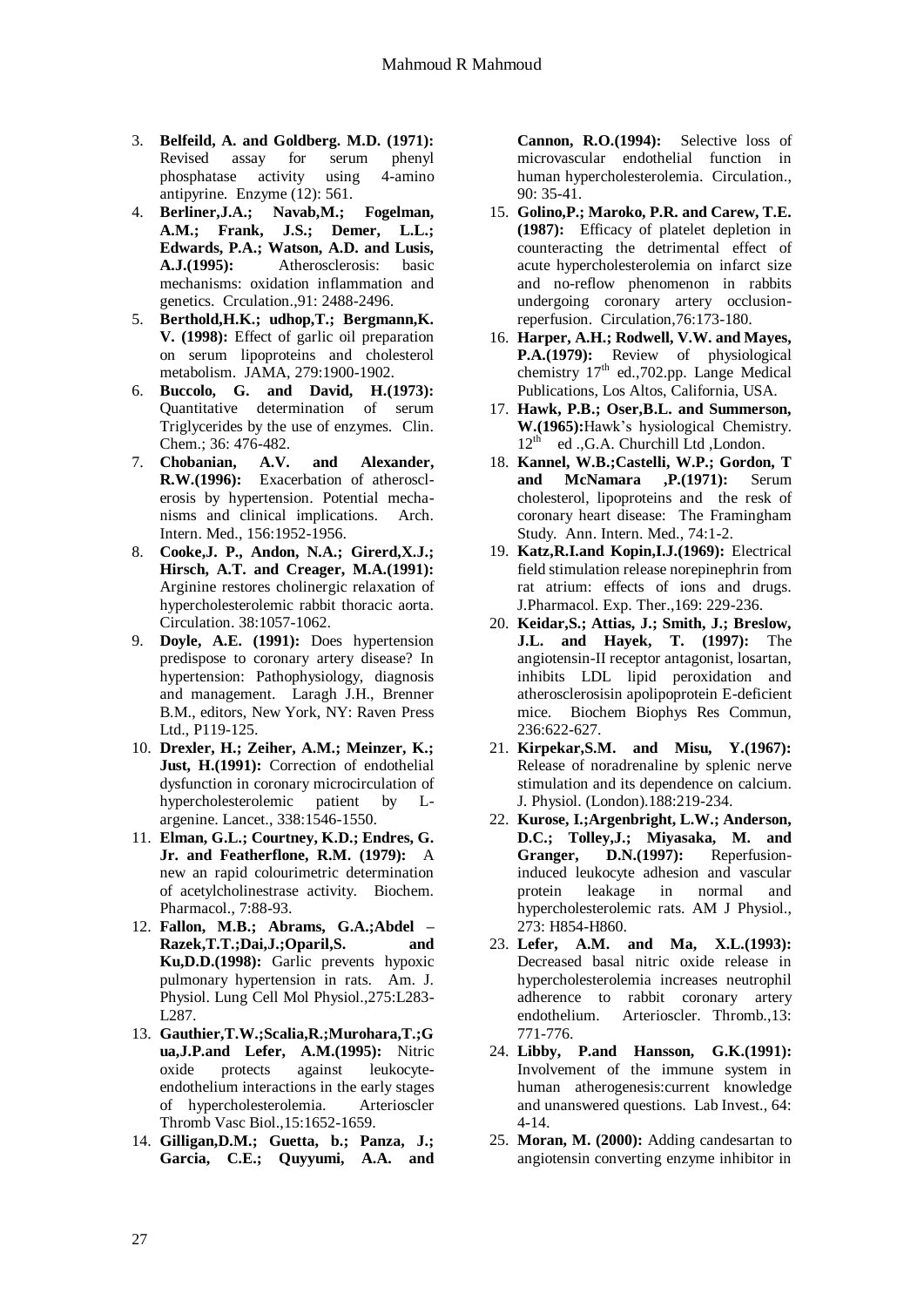- 3. **Belfeild, A. and Goldberg. M.D. (1971):** Revised assay for serum phenyl phosphatase activity using 4-amino antipyrine. Enzyme (12): 561.
- 4. **Berliner,J.A.; Navab,M.; Fogelman, A.M.; Frank, J.S.; Demer, L.L.; Edwards, P.A.; Watson, A.D. and Lusis, A.J.(1995):** Atherosclerosis: basic mechanisms: oxidation inflammation and genetics. Crculation.,91: 2488-2496.
- 5. **Berthold,H.K.; udhop,T.; Bergmann,K. V. (1998):** Effect of garlic oil preparation on serum lipoproteins and cholesterol metabolism. JAMA, 279:1900-1902.
- 6. **Buccolo, G. and David, H.(1973):**  Quantitative determination of serum Triglycerides by the use of enzymes. Clin. Chem.; 36: 476-482.
- 7. **Chobanian, A.V. and Alexander, R.W.(1996):** Exacerbation of atherosclerosis by hypertension. Potential mechanisms and clinical implications. Arch. Intern. Med., 156:1952-1956.
- 8. **Cooke,J. P., Andon, N.A.; Girerd,X.J.; Hirsch, A.T. and Creager, M.A.(1991):**  Arginine restores cholinergic relaxation of hypercholesterolemic rabbit thoracic aorta. Circulation. 38:1057-1062.
- 9. **Doyle, A.E. (1991):** Does hypertension predispose to coronary artery disease? In hypertension: Pathophysiology, diagnosis and management. Laragh J.H., Brenner B.M., editors, New York, NY: Raven Press Ltd., P119-125.
- 10. **Drexler, H.; Zeiher, A.M.; Meinzer, K.; Just, H.(1991):** Correction of endothelial dysfunction in coronary microcirculation of hypercholesterolemic patient by Largenine. Lancet., 338:1546-1550.
- 11. **Elman, G.L.; Courtney, K.D.; Endres, G. Jr. and Featherflone, R.M. (1979):** A new an rapid colourimetric determination of acetylcholinestrase activity. Biochem. Pharmacol., 7:88-93.
- 12. **Fallon, M.B.; Abrams, G.A.;Abdel – Razek,T.T.;Dai,J.;Oparil,S. and Ku,D.D.(1998):** Garlic prevents hypoxic pulmonary hypertension in rats. Am. J. Physiol. Lung Cell Mol Physiol.,275:L283- L287.
- 13. **Gauthier,T.W.;Scalia,R.;Murohara,T.;G ua,J.P.and Lefer, A.M.(1995):** Nitric oxide protects against leukocyteendothelium interactions in the early stages of hypercholesterolemia. Arterioscler Thromb Vasc Biol.,15:1652-1659.
- 14. **Gilligan,D.M.; Guetta, b.; Panza, J.; Garcia, C.E.; Quyyumi, A.A. and**

**Cannon, R.O.(1994):** Selective loss of microvascular endothelial function in human hypercholesterolemia. Circulation., 90: 35-41.

- 15. **Golino,P.; Maroko, P.R. and Carew, T.E. (1987):** Efficacy of platelet depletion in counteracting the detrimental effect of acute hypercholesterolemia on infarct size and no-reflow phenomenon in rabbits undergoing coronary artery occlusionreperfusion. Circulation,76:173-180.
- 16. **Harper, A.H.; Rodwell, V.W. and Mayes, P.A.(1979):** Review of physiological chemistry  $17<sup>th</sup>$  ed., 702.pp. Lange Medical Publications, Los Altos, California, USA.
- 17. **Hawk, P.B.; Oser,B.L. and Summerson, W.(1965):**Hawk's hysiological Chemistry. 12<sup>th</sup> ed ., G.A. Churchill Ltd, London.
- 18. **Kannel, W.B.;Castelli, W.P.; Gordon, T and McNamara ,P.(1971):** Serum cholesterol, lipoproteins and the resk of coronary heart disease: The Framingham Study. Ann. Intern. Med., 74:1-2.
- 19. **Katz,R.I.and Kopin,I.J.(1969):** Electrical field stimulation release norepinephrin from rat atrium: effects of ions and drugs. J.Pharmacol. Exp. Ther.,169: 229-236.
- 20. **Keidar,S.; Attias, J.; Smith, J.; Breslow, J.L. and Hayek, T. (1997):** The angiotensin-II receptor antagonist, losartan, inhibits LDL lipid peroxidation and atherosclerosisin apolipoprotein E-deficient mice. Biochem Biophys Res Commun, 236:622-627.
- 21. **Kirpekar,S.M. and Misu, Y.(1967):** Release of noradrenaline by splenic nerve stimulation and its dependence on calcium. J. Physiol. (London).188:219-234.
- 22. **Kurose, I.;Argenbright, L.W.; Anderson, D.C.; Tolley,J.; Miyasaka, M. and Granger, D.N.(1997):** Reperfusioninduced leukocyte adhesion and vascular protein leakage in normal and hypercholesterolemic rats. AM J Physiol., 273: H854-H860.
- 23. **Lefer, A.M. and Ma, X.L.(1993):**  Decreased basal nitric oxide release in hypercholesterolemia increases neutrophil adherence to rabbit coronary artery endothelium. Arterioscler. Thromb.,13: 771-776.
- 24. **Libby, P.and Hansson, G.K.(1991):**  Involvement of the immune system in human atherogenesis:current knowledge and unanswered questions. Lab Invest., 64: 4-14.
- 25. **Moran, M. (2000):** Adding candesartan to angiotensin converting enzyme inhibitor in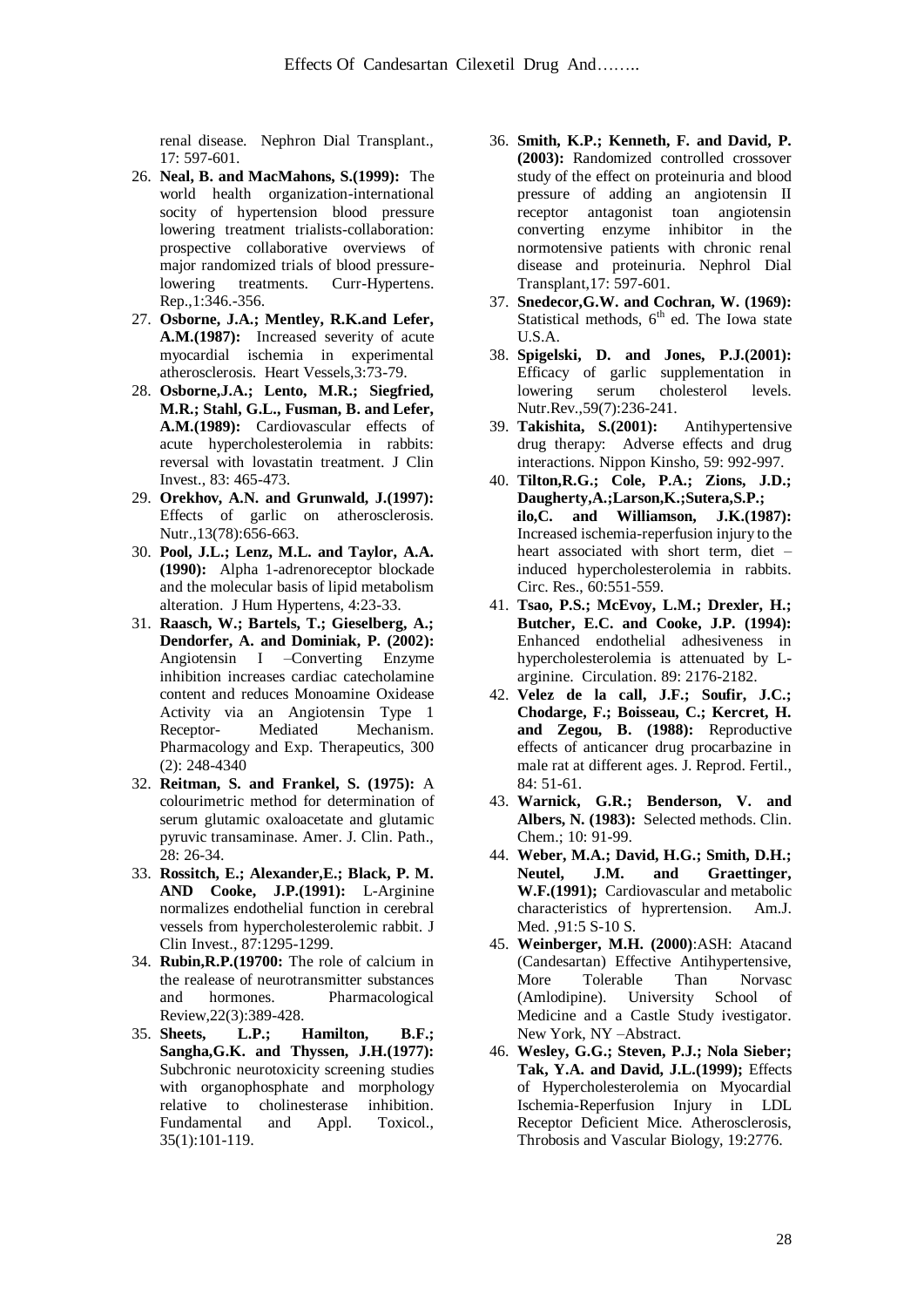renal disease. Nephron Dial Transplant., 17: 597-601.

- 26. **Neal, B. and MacMahons, S.(1999):** The world health organization-international socity of hypertension blood pressure lowering treatment trialists-collaboration: prospective collaborative overviews of major randomized trials of blood pressurelowering treatments. Curr-Hypertens. Rep.,1:346.-356.
- 27. **Osborne, J.A.; Mentley, R.K.and Lefer, A.M.(1987):** Increased severity of acute myocardial ischemia in experimental atherosclerosis. Heart Vessels,3:73-79.
- 28. **Osborne,J.A.; Lento, M.R.; Siegfried, M.R.; Stahl, G.L., Fusman, B. and Lefer, A.M.(1989):** Cardiovascular effects of acute hypercholesterolemia in rabbits: reversal with lovastatin treatment. J Clin Invest., 83: 465-473.
- 29. **Orekhov, A.N. and Grunwald, J.(1997):**  Effects of garlic on atherosclerosis. Nutr.,13(78):656-663.
- 30. **Pool, J.L.; Lenz, M.L. and Taylor, A.A. (1990):** Alpha 1-adrenoreceptor blockade and the molecular basis of lipid metabolism alteration. J Hum Hypertens, 4:23-33.
- 31. **Raasch, W.; Bartels, T.; Gieselberg, A.; Dendorfer, A. and Dominiak, P. (2002):**  Angiotensin I –Converting Enzyme inhibition increases cardiac catecholamine content and reduces Monoamine Oxidease Activity via an Angiotensin Type 1 Receptor- Mediated Mechanism. Pharmacology and Exp. Therapeutics, 300 (2): 248-4340
- 32. **Reitman, S. and Frankel, S. (1975):** A colourimetric method for determination of serum glutamic oxaloacetate and glutamic pyruvic transaminase. Amer. J. Clin. Path., 28: 26-34.
- 33. **Rossitch, E.; Alexander,E.; Black, P. M. AND Cooke, J.P.(1991):** L-Arginine normalizes endothelial function in cerebral vessels from hypercholesterolemic rabbit. J Clin Invest., 87:1295-1299.
- 34. **Rubin,R.P.(19700:** The role of calcium in the realease of neurotransmitter substances and hormones. Pharmacological Review,22(3):389-428.
- 35. **Sheets, L.P.; Hamilton, B.F.; Sangha,G.K. and Thyssen, J.H.(1977):** Subchronic neurotoxicity screening studies with organophosphate and morphology relative to cholinesterase inhibition. Fundamental and Appl. Toxicol., 35(1):101-119.
- 36. **Smith, K.P.; Kenneth, F. and David, P. (2003):** Randomized controlled crossover study of the effect on proteinuria and blood pressure of adding an angiotensin II receptor antagonist toan angiotensin converting enzyme inhibitor in the normotensive patients with chronic renal disease and proteinuria. Nephrol Dial Transplant,17: 597-601.
- 37. **Snedecor,G.W. and Cochran, W. (1969):**  Statistical methods,  $6<sup>th</sup>$  ed. The Iowa state U.S.A.
- 38. **Spigelski, D. and Jones, P.J.(2001):**  Efficacy of garlic supplementation in lowering serum cholesterol levels. Nutr.Rev.,59(7):236-241.
- 39. **Takishita, S.(2001):** Antihypertensive drug therapy: Adverse effects and drug interactions. Nippon Kinsho, 59: 992-997.
- 40. **Tilton,R.G.; Cole, P.A.; Zions, J.D.; Daugherty,A.;Larson,K.;Sutera,S.P.; ilo,C. and Williamson, J.K.(1987):** Increased ischemia-reperfusion injury to the heart associated with short term, diet – induced hypercholesterolemia in rabbits. Circ. Res., 60:551-559.
- 41. **Tsao, P.S.; McEvoy, L.M.; Drexler, H.; Butcher, E.C. and Cooke, J.P. (1994):**  Enhanced endothelial adhesiveness in hypercholesterolemia is attenuated by Larginine. Circulation. 89: 2176-2182.
- 42. **Velez de la call, J.F.; Soufir, J.C.; Chodarge, F.; Boisseau, C.; Kercret, H. and Zegou, B. (1988):** Reproductive effects of anticancer drug procarbazine in male rat at different ages. J. Reprod. Fertil., 84: 51-61.
- 43. **Warnick, G.R.; Benderson, V. and Albers, N. (1983):** Selected methods. Clin. Chem.; 10: 91-99.
- 44. **Weber, M.A.; David, H.G.; Smith, D.H.; Neutel, J.M. and Graettinger, W.F.(1991);** Cardiovascular and metabolic characteristics of hyprertension. Am.J. Med. ,91:5 S-10 S.
- 45. **Weinberger, M.H. (2000)**:ASH: Atacand (Candesartan) Effective Antihypertensive, More Tolerable Than Norvasc (Amlodipine). University School of Medicine and a Castle Study ivestigator. New York, NY –Abstract.
- 46. **Wesley, G.G.; Steven, P.J.; Nola Sieber; Tak, Y.A. and David, J.L.(1999);** Effects of Hypercholesterolemia on Myocardial Ischemia-Reperfusion Injury in LDL Receptor Deficient Mice. Atherosclerosis, Throbosis and Vascular Biology, 19:2776.